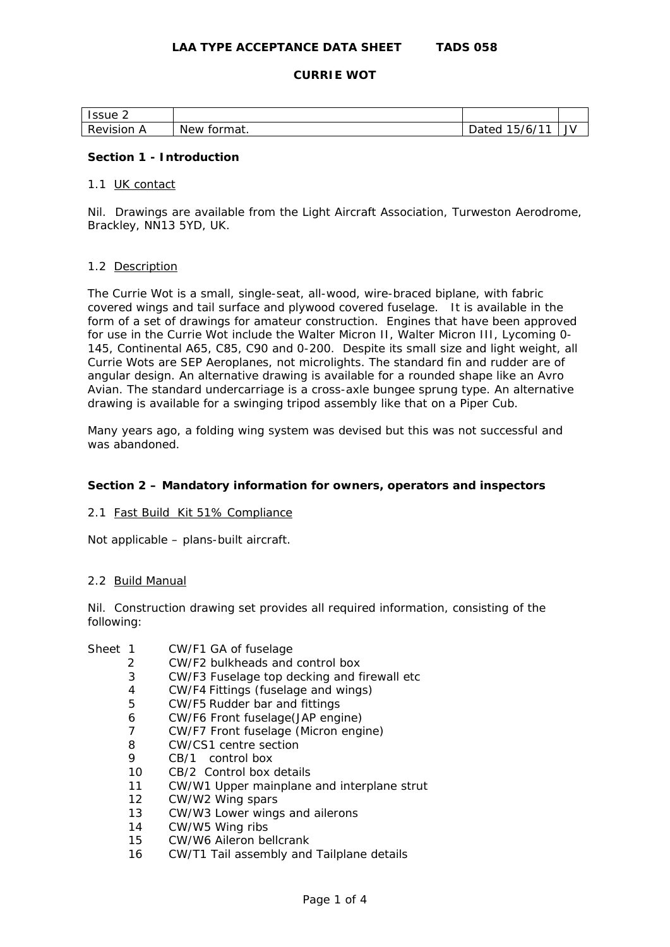# **LAA TYPE ACCEPTANCE DATA SHEET TADS 058**

### **CURRIE WOT**

| Issue 2       |                       |                       |    |
|---------------|-----------------------|-----------------------|----|
| Revision<br>P | <b>New</b><br>tormat. | 14A<br>15/6/<br>Dated | JV |

## **Section 1 - Introduction**

#### 1.1 UK contact

Nil. Drawings are available from the Light Aircraft Association, Turweston Aerodrome, Brackley, NN13 5YD, UK.

#### 1.2 Description

The Currie Wot is a small, single-seat, all-wood, wire-braced biplane, with fabric covered wings and tail surface and plywood covered fuselage. It is available in the form of a set of drawings for amateur construction. Engines that have been approved for use in the Currie Wot include the Walter Micron II, Walter Micron III, Lycoming 0- 145, Continental A65, C85, C90 and 0-200. Despite its small size and light weight, all Currie Wots are SEP Aeroplanes, not microlights. The standard fin and rudder are of angular design. An alternative drawing is available for a rounded shape like an Avro Avian. The standard undercarriage is a cross-axle bungee sprung type. An alternative drawing is available for a swinging tripod assembly like that on a Piper Cub.

Many years ago, a folding wing system was devised but this was not successful and was abandoned.

# **Section 2 – Mandatory information for owners, operators and inspectors**

#### 2.1 Fast Build Kit 51% Compliance

Not applicable – plans-built aircraft.

## 2.2 Build Manual

Nil. Construction drawing set provides all required information, consisting of the following:

| Sheet 1 | CW/F1 GA of fuselage    |
|---------|-------------------------|
|         | CW/E2 bulkhoads and cor |

- 2 CW/F2 bulkheads and control box
- 3 CW/F3 Fuselage top decking and firewall etc
- 4 CW/F4 Fittings (fuselage and wings)
- 5 CW/F5 Rudder bar and fittings
- 6 CW/F6 Front fuselage(JAP engine)
- 7 CW/F7 Front fuselage (Micron engine)
- 8 CW/CS1 centre section
- 9 CB/1 control box
- 10 CB/2 Control box details
- 11 CW/W1 Upper mainplane and interplane strut
- 12 CW/W2 Wing spars
- 13 CW/W3 Lower wings and ailerons
- 14 CW/W5 Wing ribs
- 15 CW/W6 Aileron bellcrank
- 16 CW/T1 Tail assembly and Tailplane details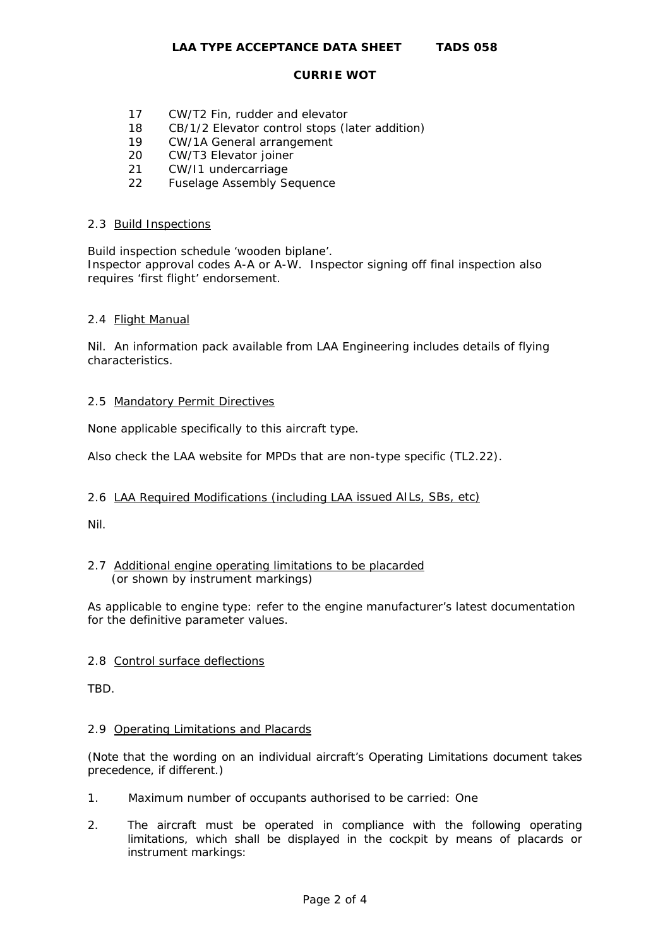#### **CURRIE WOT**

- 17 CW/T2 Fin, rudder and elevator
- 18 CB/1/2 Elevator control stops (later addition)
- 19 CW/1A General arrangement
- 20 CW/T3 Elevator joiner
- 21 CW/I1 undercarriage
- 22 Fuselage Assembly Sequence

### 2.3 Build Inspections

Build inspection schedule 'wooden biplane'.

Inspector approval codes A-A or A-W. Inspector signing off final inspection also requires 'first flight' endorsement.

## 2.4 Flight Manual

Nil. An information pack available from LAA Engineering includes details of flying characteristics.

## 2.5 Mandatory Permit Directives

None applicable specifically to this aircraft type.

Also check the LAA website for MPDs that are non-type specific (TL2.22).

# 2.6 LAA Required Modifications (including LAA issued AILs, SBs, etc)

Nil.

# 2.7 Additional engine operating limitations to be placarded (or shown by instrument markings)

As applicable to engine type: refer to the engine manufacturer's latest documentation for the definitive parameter values.

# 2.8 Control surface deflections

TBD.

#### 2.9 Operating Limitations and Placards

(Note that the wording on an individual aircraft's Operating Limitations document takes precedence, if different.)

- 1. Maximum number of occupants authorised to be carried: One
- 2. The aircraft must be operated in compliance with the following operating limitations, which shall be displayed in the cockpit by means of placards or instrument markings: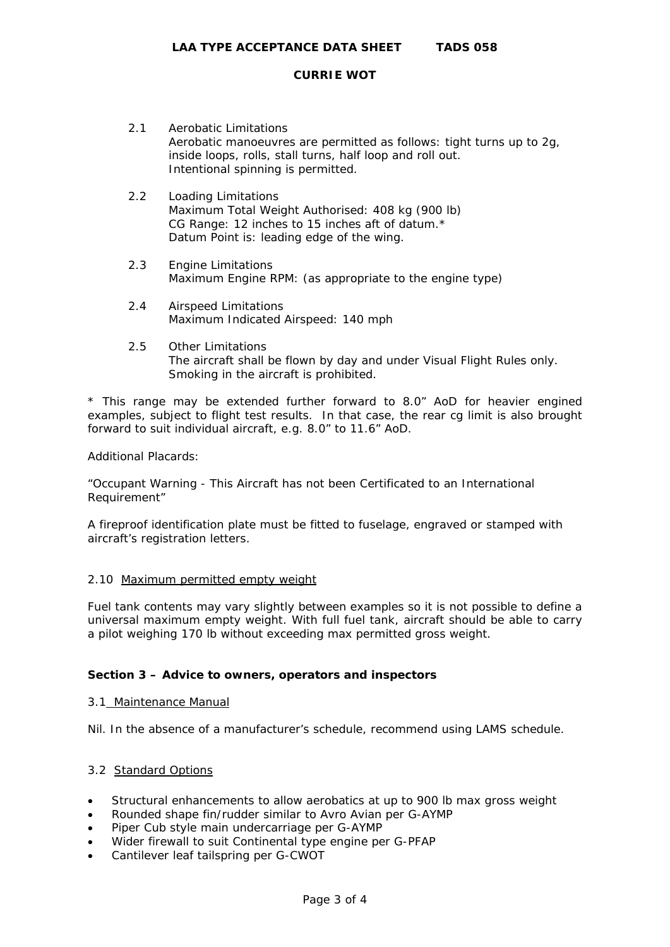#### **CURRIE WOT**

- 2.1 Aerobatic Limitations Aerobatic manoeuvres are permitted as follows: tight turns up to 2g, inside loops, rolls, stall turns, half loop and roll out. Intentional spinning is permitted.
- 2.2 Loading Limitations Maximum Total Weight Authorised: 408 kg (900 lb) CG Range: 12 inches to 15 inches aft of datum.\* Datum Point is: leading edge of the wing.
- 2.3 Engine Limitations Maximum Engine RPM: (as appropriate to the engine type)
- 2.4 Airspeed Limitations Maximum Indicated Airspeed: 140 mph
- 2.5 Other Limitations The aircraft shall be flown by day and under Visual Flight Rules only. Smoking in the aircraft is prohibited.

\* This range may be extended further forward to 8.0" AoD for heavier engined examples, subject to flight test results. In that case, the rear cg limit is also brought forward to suit individual aircraft, e.g. 8.0" to 11.6" AoD.

Additional Placards:

"Occupant Warning - This Aircraft has not been Certificated to an International Requirement"

A fireproof identification plate must be fitted to fuselage, engraved or stamped with aircraft's registration letters.

# 2.10 Maximum permitted empty weight

Fuel tank contents may vary slightly between examples so it is not possible to define a universal maximum empty weight. With full fuel tank, aircraft should be able to carry a pilot weighing 170 lb without exceeding max permitted gross weight.

# **Section 3 – Advice to owners, operators and inspectors**

#### 3.1 Maintenance Manual

Nil. In the absence of a manufacturer's schedule, recommend using LAMS schedule.

# 3.2 Standard Options

- Structural enhancements to allow aerobatics at up to 900 lb max gross weight
- Rounded shape fin/rudder similar to Avro Avian per G-AYMP
- Piper Cub style main undercarriage per G-AYMP
- Wider firewall to suit Continental type engine per G-PFAP
- Cantilever leaf tailspring per G-CWOT